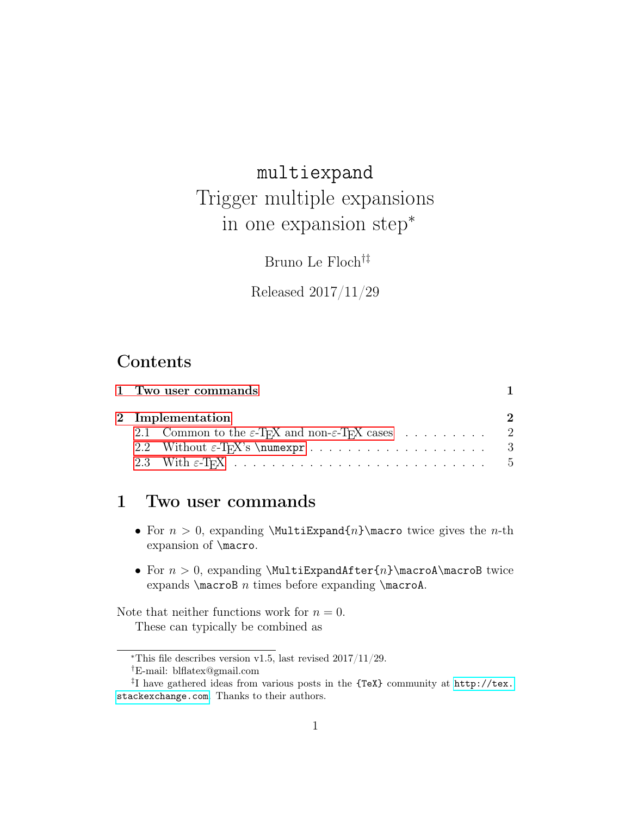# multiexpand Trigger multiple expansions in one expansion step<sup>∗</sup>

Bruno Le Floch†‡

Released 2017/11/29

## Contents

|  | 1 Two user commands                                                                                |  |  |  |
|--|----------------------------------------------------------------------------------------------------|--|--|--|
|  | 2 Implementation                                                                                   |  |  |  |
|  | 2.1 Common to the $\varepsilon$ -T <sub>F</sub> X and non- $\varepsilon$ -T <sub>F</sub> X cases 2 |  |  |  |
|  |                                                                                                    |  |  |  |
|  |                                                                                                    |  |  |  |
|  |                                                                                                    |  |  |  |

## <span id="page-0-0"></span>1 Two user commands

- For  $n > 0$ , expanding \MultiExpand{n}\macro twice gives the *n*-th expansion of \macro.
- For  $n > 0$ , expanding \MultiExpandAfter{n}\macroA\macroB twice expands  $\text{C}$  n times before expanding  $\text{C}$ .

Note that neither functions work for  $n = 0$ . These can typically be combined as

<sup>∗</sup>This file describes version v1.5, last revised 2017/11/29.

<sup>†</sup>E-mail: blflatex@gmail.com

<sup>‡</sup> I have gathered ideas from various posts in the {TeX} community at [http://tex.](http://tex.stackexchange.com) [stackexchange.com](http://tex.stackexchange.com). Thanks to their authors.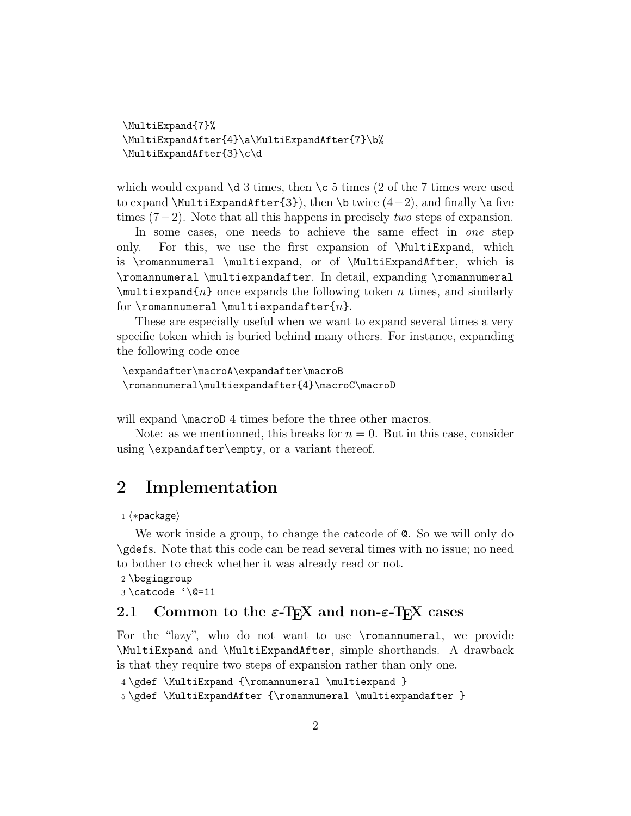```
\MultiExpand{7}%
\MultiExpandAfter{4}\a\MultiExpandAfter{7}\b%
\MultiExpandAfter{3}\c\d
```
which would expand  $\dagger$  3 times, then  $\c$  5 times (2 of the 7 times were used to expand  $\MultiExpandAfter{3}, then \btwice (4-2), and finally \a five$ times  $(7-2)$ . Note that all this happens in precisely *two* steps of expansion.

In some cases, one needs to achieve the same effect in one step only. For this, we use the first expansion of \MultiExpand, which is \romannumeral \multiexpand, or of \MultiExpandAfter, which is \romannumeral \multiexpandafter. In detail, expanding \romannumeral  $\mathcal{F}_n$  once expands the following token n times, and similarly for \romannumeral \multiexpandafter{n}.

These are especially useful when we want to expand several times a very specific token which is buried behind many others. For instance, expanding the following code once

```
\expandafter\macroA\expandafter\macroB
\romannumeral\multiexpandafter{4}\macroC\macroD
```
will expand  $\text{Conformal } \mathcal{A}$  times before the three other macros.

Note: as we mentionned, this breaks for  $n = 0$ . But in this case, consider using \expandafter\empty, or a variant thereof.

### <span id="page-1-0"></span>2 Implementation

1  $\langle *package \rangle$ 

We work inside a group, to change the catcode of @. So we will only do \gdefs. Note that this code can be read several times with no issue; no need to bother to check whether it was already read or not.

```
2 \begingroup
```
3 \catcode '\@=11

#### <span id="page-1-1"></span>2.1 Common to the  $\varepsilon$ -T<sub>E</sub>X and non- $\varepsilon$ -T<sub>E</sub>X cases

For the "lazy", who do not want to use \romannumeral, we provide \MultiExpand and \MultiExpandAfter, simple shorthands. A drawback is that they require two steps of expansion rather than only one.

```
4 \gdef \MultiExpand {\romannumeral \multiexpand }
```
5 \gdef \MultiExpandAfter {\romannumeral \multiexpandafter }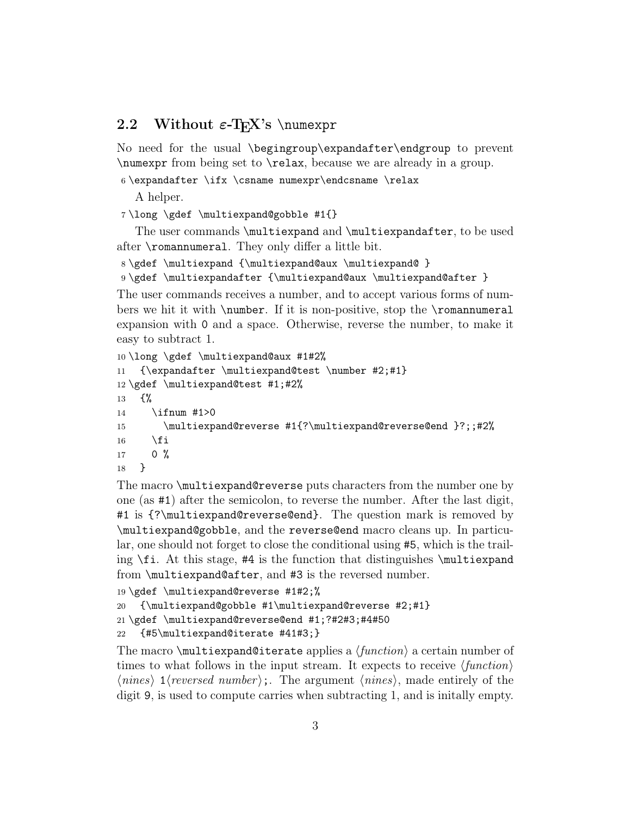### <span id="page-2-0"></span>2.2 Without  $\varepsilon$ -T<sub>E</sub>X's \numexpr

No need for the usual \begingroup\expandafter\endgroup to prevent \numexpr from being set to \relax, because we are already in a group.

6 \expandafter \ifx \csname numexpr\endcsname \relax

A helper.

7 \long \gdef \multiexpand@gobble #1{}

The user commands \multiexpand and \multiexpandafter, to be used after \romannumeral. They only differ a little bit.

8 \gdef \multiexpand {\multiexpand@aux \multiexpand@ }

9 \gdef \multiexpandafter {\multiexpand@aux \multiexpand@after }

The user commands receives a number, and to accept various forms of numbers we hit it with \number. If it is non-positive, stop the \romannumeral expansion with 0 and a space. Otherwise, reverse the number, to make it easy to subtract 1.

```
10 \long \gdef \multiexpand@aux #1#2%
11 {\expandafter \multiexpand@test \number #2;#1}
12 \gdef \multiexpand@test #1;#2%
13 {%
14 \ifnum #1>0
15 \multiexpand@reverse #1{?\multiexpand@reverse@end }?;;#2%
16 \fi
17 0 %
18 }
```
The macro \multiexpand@reverse puts characters from the number one by one (as #1) after the semicolon, to reverse the number. After the last digit, #1 is {?\multiexpand@reverse@end}. The question mark is removed by \multiexpand@gobble, and the reverse@end macro cleans up. In particular, one should not forget to close the conditional using #5, which is the trailing \fi. At this stage, #4 is the function that distinguishes \multiexpand from \multiexpand@after, and #3 is the reversed number.

```
19 \gdef \multiexpand@reverse #1#2;%
20 {\multiexpand@gobble #1\multiexpand@reverse #2;#1}
21 \gdef \multiexpand@reverse@end #1;?#2#3;#4#50
22 {#5\multiexpand@iterate #41#3;}
```
The macro  $\mathcal{S}$  multiexpand@iterate applies a  $\mathcal{S}$  *(function)* a certain number of times to what follows in the input stream. It expects to receive  $\langle function \rangle$  $\langle nines \rangle$  1/reversed number);. The argument  $\langle nines \rangle$ , made entirely of the digit 9, is used to compute carries when subtracting 1, and is initally empty.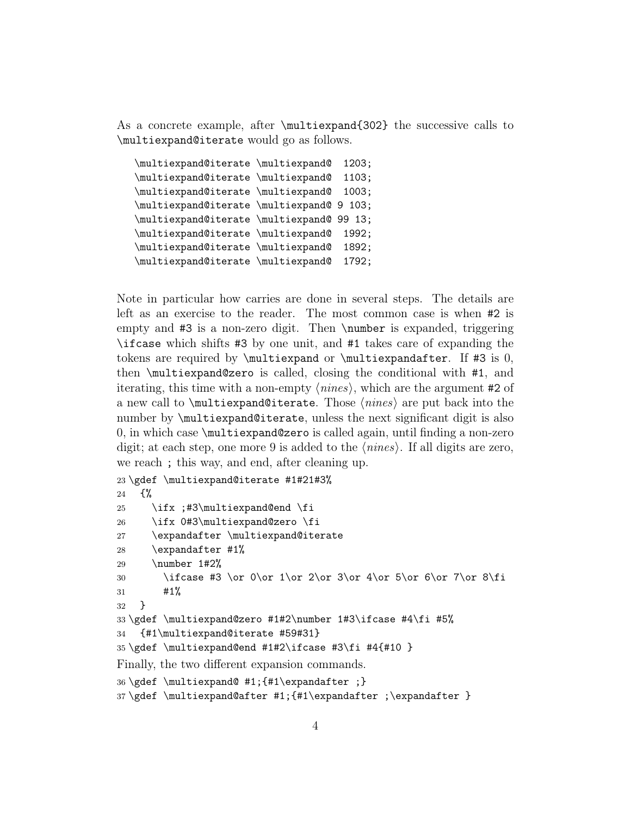As a concrete example, after \multiexpand{302} the successive calls to \multiexpand@iterate would go as follows.

```
\multiexpand@iterate \multiexpand@ 1203;
\multiexpand@iterate \multiexpand@ 1103;
\multiexpand@iterate \multiexpand@ 1003;
\multiexpand@iterate \multiexpand@ 9 103;
\multiexpand@iterate \multiexpand@ 99 13;
\multiexpand@iterate \multiexpand@ 1992;
\multiexpand@iterate \multiexpand@ 1892;
\multiexpand@iterate \multiexpand@ 1792;
```
Note in particular how carries are done in several steps. The details are left as an exercise to the reader. The most common case is when #2 is empty and #3 is a non-zero digit. Then \number is expanded, triggering \ifcase which shifts #3 by one unit, and #1 takes care of expanding the tokens are required by  $\mathrm{cutt}$  or  $\mathrm{cutt}$  and  $\mathrm{at}$  #3 is 0, then \multiexpand@zero is called, closing the conditional with #1, and iterating, this time with a non-empty  $\langle nines \rangle$ , which are the argument #2 of a new call to  $\mathcal{A}$  is a new call to  $\mathcal{A}$  are put back into the number by  $\mathcal{A}$  and  $\mathcal{A}$  is also number by  $\mathcal{A}$  and  $\mathcal{A}$  is also number by  $\mathcal{A}$ 0, in which case \multiexpand@zero is called again, until finding a non-zero digit; at each step, one more 9 is added to the  $\langle nines \rangle$ . If all digits are zero, we reach ; this way, and end, after cleaning up.

```
23 \gdef \multiexpand@iterate #1#21#3%
24 \{%
25 \ifx ;#3\multiexpand@end \fi
26 \ifx 0#3\multiexpand@zero \fi
27 \expandafter \multiexpand@iterate
28 \expandafter #1%
29 \number 1#2%
30 \ifcase #3 \or 0\or 1\or 2\or 3\or 4\or 5\or 6\or 7\or 8\fi
31 + 1%32 }
33 \gdef \multiexpand@zero #1#2\number 1#3\ifcase #4\fi #5%
34 {#1\multiexpand@iterate #59#31}
35 \gdef \multiexpand@end #1#2\ifcase #3\fi #4{#10 }
Finally, the two different expansion commands.
36 \gdef \multiexpand@ #1;{#1\expandafter ;}
37 \gdef \multiexpand@after #1;{#1\expandafter ;\expandafter }
```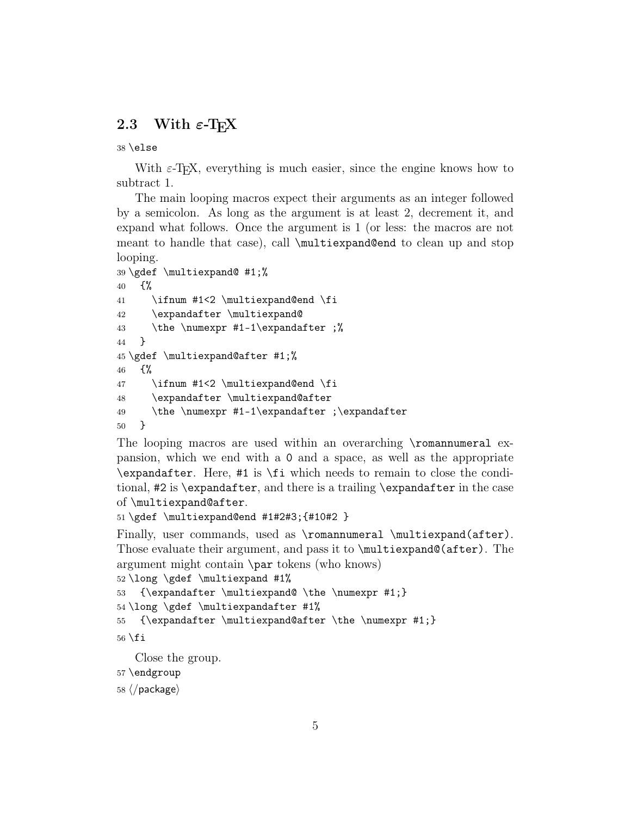#### <span id="page-4-0"></span>2.3 With  $\varepsilon$ -T<sub>F</sub>X

38 \else

With  $\varepsilon$ -T<sub>E</sub>X, everything is much easier, since the engine knows how to subtract 1.

The main looping macros expect their arguments as an integer followed by a semicolon. As long as the argument is at least 2, decrement it, and expand what follows. Once the argument is 1 (or less: the macros are not meant to handle that case), call \multiexpand@end to clean up and stop looping.

```
39 \gdef \multiexpand@ #1;%
40 \frac{1}{2}41 \ifnum #1<2 \multiexpand@end \fi
42 \expandafter \multiexpand@
43 \the \numexpr #1-1\expandafter ;%
44 }
45 \gdef \multiexpand@after #1;%
46 {%
47 \ifnum #1<2 \multiexpand@end \fi
48 \expandafter \multiexpand@after
49 \the \numexpr #1-1\expandafter ;\expandafter
50 }
```
The looping macros are used within an overarching \romannumeral expansion, which we end with a 0 and a space, as well as the appropriate \expandafter. Here, #1 is \fi which needs to remain to close the conditional, #2 is \expandafter, and there is a trailing \expandafter in the case of \multiexpand@after.

```
51 \gdef \multiexpand@end #1#2#3;{#10#2 }
```
Finally, user commands, used as \romannumeral \multiexpand(after). Those evaluate their argument, and pass it to \multiexpand@(after). The argument might contain \par tokens (who knows)

```
52 \long \gdef \multiexpand #1%
53 {\expandafter \multiexpand@ \the \numexpr #1;}
```

```
54 \long \gdef \multiexpandafter #1%
```

```
55 {\expandafter \multiexpand@after \the \numexpr #1;}
```

```
56 \setminus fi
```
Close the group.

```
57 \endgroup
```
58  $\langle$ /package $\rangle$